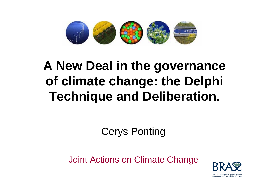

## **A New Deal in the governance of climate change: the Delphi Technique and Deliberation.**

Cerys Ponting

Joint Actions on Climate Change

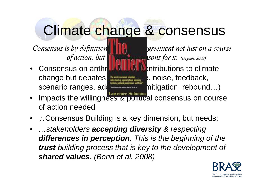## Climate change & consensus

change but debates **still exist (reepsack**, reedback, scenario ranges, adaptation variation, rebound...)

*Consensus is by definition* **unity of the** *greement not just on a course of action, but* **also** *action, but* **a** 

• Consensus on anthr**opogenic contributions to climate** 

- Impacts the willingness & political consensus on course of action needed
- $\bullet$ Consensus Building is a key dimension, but needs:
- *…stakeholders accepting diversity & respecting differences in perception. This is the beginning of the trust building process that is key to the development of shared values. (Benn et al. 2008)*

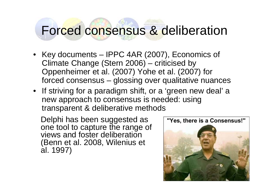#### Forced consensus & deliberation

- Key documents IPPC 4AR (2007), Economics of Climate Change (Stern 2006) – criticised by Oppenheimer et al. (2007) Yohe et al. (2007) for forced consensus – glossing over qualitative nuances
- If striving for a paradigm shift, or a 'green new deal' a new approach to consensus is needed: using transparent & deliberative methods

Delphi has been suggested as one tool to capture the range of views and foster deliberation (Benn et al. 2008, Wilenius et al. 1997)

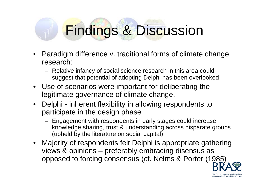# Findings & Discussion

- Paradigm difference v. traditional forms of climate change research:
	- Relative infancy of social science research in this area could suggest that potential of adopting Delphi has been overlooked
- Use of scenarios were important for deliberating the legitimate governance of climate change.
- Delphi inherent flexibility in allowing respondents to participate in the design phase
	- Engagement with respondents in early stages could increase knowledge sharing, trust & understanding across disparate groups (upheld by the literature on social capital)
- Majority of respondents felt Delphi is appropriate gathering views & opinions – preferably embracing disensus as opposed to forcing consensus (cf. Nelms & Porter (1985)

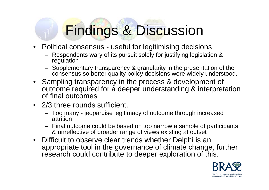# Findings & Discussion

- Political consensus useful for legitimising decisions
	- Respondents wary of its pursuit solely for justifying legislation & regulation
	- Supplementary transparency & granularity in the presentation of the consensus so better quality policy decisions were widely understood.
- Sampling transparency in the process & development of outcome required for a deeper understanding & interpretation of final outcomes
- 2/3 three rounds sufficient.
	- Too many jeopardise legitimacy of outcome through increased attrition
	- Final outcome could be based on too narrow a sample of participants & unreflective of broader range of views existing at outset
- Difficult to observe clear trends whether Delphi is an appropriate tool in the governance of climate change, further research could contribute to deeper exploration of this.

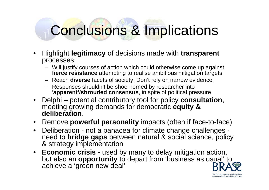# Conclusions & Implications

- Highlight **legitimacy** of decisions made with **transparent**  processes:
	- Will justify courses of action which could otherwise come up against **fierce resistance** attempting to realise ambitious mitigation targets
	- Reach **diverse** facets of society. Don't rely on narrow evidence.
	- Responses shouldn't be shoe-horned by researcher into '**apparent'/shrouded consensus**, in spite of political pressure
- Delphi potential contributory tool for policy **consultation**, meeting growing demands for democratic **equity & deliberation**.
- Remove **powerful personality** impacts (often if face-to-face)
- Deliberation not a panacea for climate change challenges need to **bridge gaps** between natural & social science, policy & strategy implementation
- **Economic crisis**  used by many to delay mitigation action, but also an **opportunity** to depart from 'business as usual' to achieve a 'green new deal'

The Centre for Business Relationship Accountability, Sustainability & Society